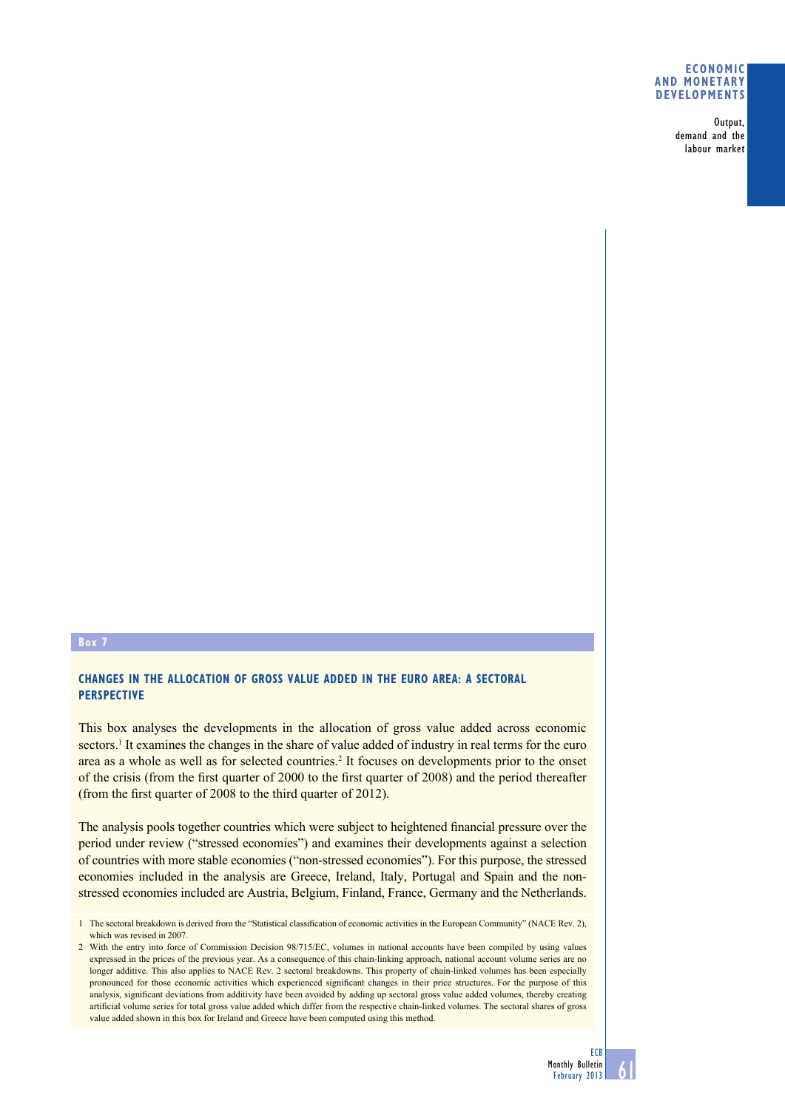### **Economic and monetary developments**

Output, demand and the labour market

## **Box 7**

## **Changes in the allocation of gross value added in the euro area: a sectoral perspective**

This box analyses the developments in the allocation of gross value added across economic sectors.<sup>1</sup> It examines the changes in the share of value added of industry in real terms for the euro area as a whole as well as for selected countries.<sup>2</sup> It focuses on developments prior to the onset of the crisis (from the first quarter of 2000 to the first quarter of 2008) and the period thereafter (from the first quarter of 2008 to the third quarter of 2012).

The analysis pools together countries which were subject to heightened financial pressure over the period under review ("stressed economies") and examines their developments against a selection of countries with more stable economies ("non-stressed economies"). For this purpose, the stressed economies included in the analysis are Greece, Ireland, Italy, Portugal and Spain and the nonstressed economies included are Austria, Belgium, Finland, France, Germany and the Netherlands.

<sup>2</sup> With the entry into force of Commission Decision 98/715/EC, volumes in national accounts have been compiled by using values expressed in the prices of the previous year. As a consequence of this chain-linking approach, national account volume series are no longer additive. This also applies to NACE Rev. 2 sectoral breakdowns. This property of chain-linked volumes has been especially pronounced for those economic activities which experienced significant changes in their price structures. For the purpose of this analysis, significant deviations from additivity have been avoided by adding up sectoral gross value added volumes, thereby creating artificial volume series for total gross value added which differ from the respective chain-linked volumes. The sectoral shares of gross value added shown in this box for Ireland and Greece have been computed using this method.



<sup>1</sup> The sectoral breakdown is derived from the "Statistical classification of economic activities in the European Community" (NACE Rev. 2), which was revised in 2007.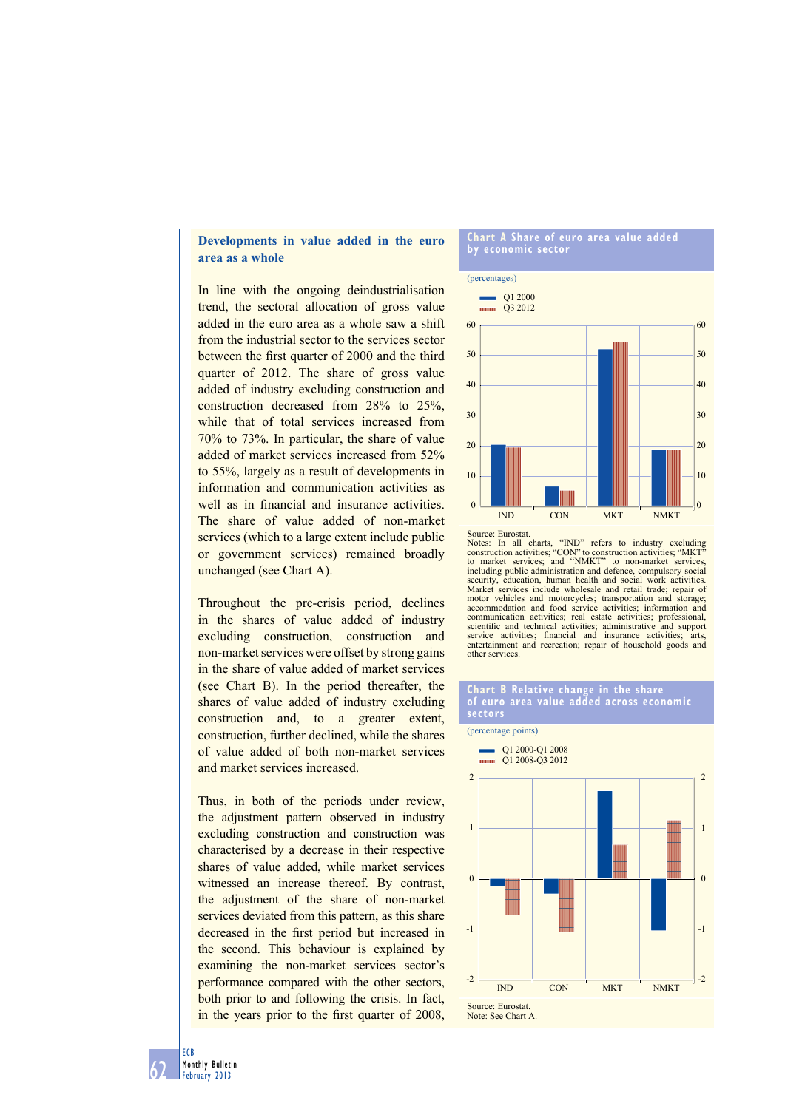## **Developments in value added in the euro area as a whole**

In line with the ongoing deindustrialisation trend, the sectoral allocation of gross value added in the euro area as a whole saw a shift from the industrial sector to the services sector between the first quarter of 2000 and the third quarter of 2012. The share of gross value added of industry excluding construction and construction decreased from 28% to 25%, while that of total services increased from 70% to 73%. In particular, the share of value added of market services increased from 52% to 55%, largely as a result of developments in information and communication activities as well as in financial and insurance activities. The share of value added of non-market services (which to a large extent include public or government services) remained broadly unchanged (see Chart A).

Throughout the pre-crisis period, declines in the shares of value added of industry excluding construction, construction and non-market services were offset by strong gains in the share of value added of market services (see Chart B). In the period thereafter, the shares of value added of industry excluding construction and, to a greater extent, construction, further declined, while the shares of value added of both non-market services and market services increased.

Thus, in both of the periods under review, the adjustment pattern observed in industry excluding construction and construction was characterised by a decrease in their respective shares of value added, while market services witnessed an increase thereof. By contrast, the adjustment of the share of non-market services deviated from this pattern, as this share decreased in the first period but increased in the second. This behaviour is explained by examining the non-market services sector's performance compared with the other sectors, both prior to and following the crisis. In fact, in the years prior to the first quarter of 2008,

#### **Chart a Share of euro area value added by economic sector**





Notes: In all charts, "IND" refers to industry excluding construction activities; "CON" to construction activities; "MKT" to market services; and "NMKT" to non-market services, including public administration and defence, compulsory social security, education, human health and social work activities. Market services include wholesale and retail trade; repair of motor vehicles and motorcycles; transportation and storage; accommodation and food service activities; information and communication activities; real estate activities; professional, scientific and technical activities; administrative and support service activities; financial and insurance activities; arts, entertainment and recreation; repair of household goods and other services.

#### **Chart b relative change in the share of euro area value added across economic sectors**



62 ECB Monthly Bulletin February 2013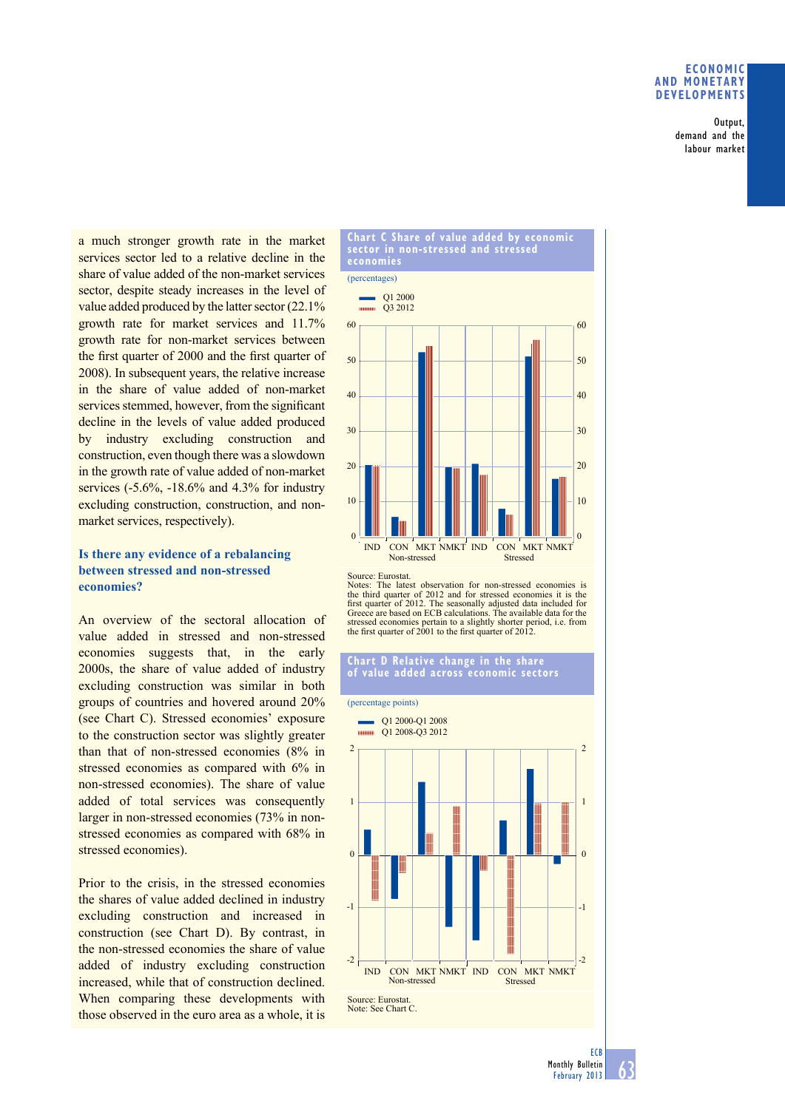### **eConomiC and monetary deVeloPmentS**

Output, demand and the labour market

a much stronger growth rate in the market services sector led to a relative decline in the share of value added of the non-market services sector, despite steady increases in the level of value added produced by the latter sector (22.1% growth rate for market services and 11.7% growth rate for non-market services between the first quarter of 2000 and the first quarter of 2008). In subsequent years, the relative increase in the share of value added of non-market services stemmed, however, from the significant decline in the levels of value added produced by industry excluding construction and construction, even though there was a slowdown in the growth rate of value added of non-market services (-5.6%, -18.6% and 4.3% for industry excluding construction, construction, and nonmarket services, respectively).

# **Is there any evidence of a rebalancing between stressed and non-stressed economies?**

An overview of the sectoral allocation of value added in stressed and non-stressed economies suggests that, in the early 2000s, the share of value added of industry excluding construction was similar in both groups of countries and hovered around 20% (see Chart C). Stressed economies' exposure to the construction sector was slightly greater than that of non-stressed economies (8% in stressed economies as compared with 6% in non-stressed economies). The share of value added of total services was consequently larger in non-stressed economies (73% in nonstressed economies as compared with 68% in stressed economies).

Prior to the crisis, in the stressed economies the shares of value added declined in industry excluding construction and increased in construction (see Chart D). By contrast, in the non-stressed economies the share of value added of industry excluding construction increased, while that of construction declined. When comparing these developments with those observed in the euro area as a whole, it is



Notes: The latest observation for non-stressed economies is the third quarter of 2012 and for stressed economies it is the first quarter of 2012. The seasonally adjusted data included for Greece are based on ECB calculations. The available data for the stressed economies pertain to a slightly shorter period, i.e. from the first quarter of 2001 to the first quarter of 2012.

# **Chart D Relative change in the share of value added across economic sectors**